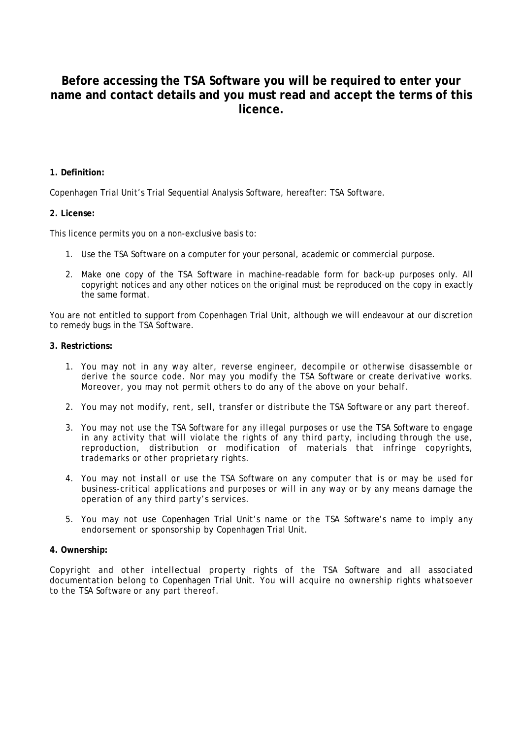# **Before accessing the TSA Software you will be required to enter your name and contact details and you must read and accept the terms of this licence.**

## **1. Definition:**

Copenhagen Trial Unit's Trial Sequential Analysis Software, hereafter: TSA Software.

## **2. License:**

This licence permits you on a non-exclusive basis to:

- 1. Use the TSA Software on a computer for your personal, academic or commercial purpose.
- 2. Make one copy of the TSA Software in machine-readable form for back-up purposes only. All copyright notices and any other notices on the original must be reproduced on the copy in exactly the same format.

You are not entitled to support from Copenhagen Trial Unit, although we will endeavour at our discretion to remedy bugs in the TSA Software.

## **3. Restrictions:**

- 1. You may not in any way alter, reverse engineer, decompile or otherwise disassemble or derive the source code. Nor may you modify the TSA Software or create derivative works. Moreover, you may not permit others to do any of the above on your behalf.
- 2. You may not modify, rent, sell, transfer or distribute the TSA Software or any part thereof.
- 3. You may not use the TSA Software for any illegal purposes or use the TSA Software to engage in any activity that will violate the rights of any third party, including through the use, reproduction, distribution or modification of materials that infringe copyrights, trademarks or other proprietary rights.
- 4. You may not install or use the TSA Software on any computer that is or may be used for business-critical applications and purposes or will in any way or by any means damage the operation of any third party's services.
- 5. You may not use Copenhagen Trial Unit's name or the TSA Software's name to imply any endorsement or sponsorship by Copenhagen Trial Unit.

## **4. Ownership:**

Copyright and other intellectual property rights of the TSA Software and all associated documentation belong to Copenhagen Trial Unit. You will acquire no ownership rights whatsoever to the TSA Software or any part thereof.